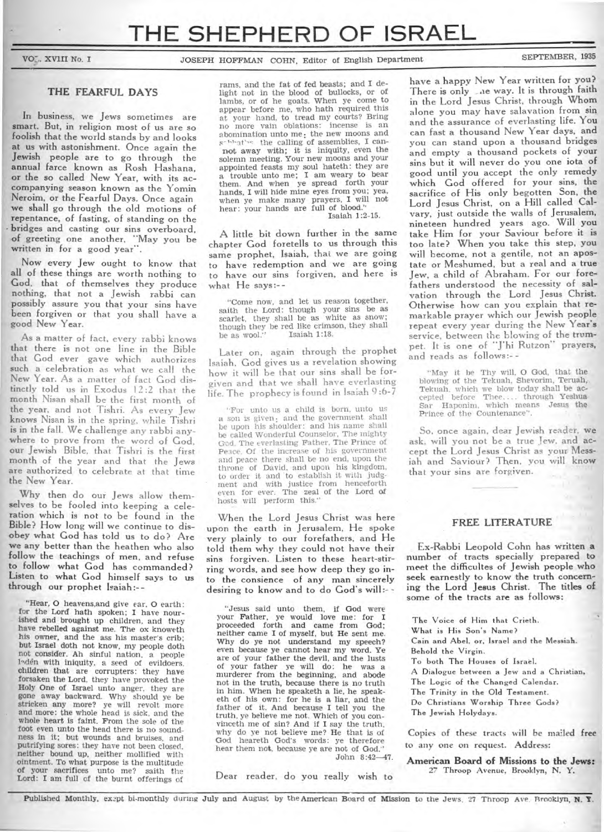VO<sub>7</sub>, XVIII No. I **JOSEPH HOFFMAN COHN, Editor of English Department** SEPTEMBER, 1935

### **THE FEARFUL DAYS**

**In business, we Jews sometimes are smart. But, in religion most of us are so foolish that the world stands by and looks at us with astonishment. Once again the Jewish people are to go through the annual farce known as Rosh Hashana, or the so called New Year, with its accompanying season known as the Yomin Neroim, or the Fearful Days. Once again we shall go through the old motions of repentance, of fasting, of standing on the • bridges and casting our sins overboard, of greeting one another, "May you be written in for a good year".** 

**Now every Jew ought to know that all of these things are worth nothing to God, that of themselves they produce nothing, that not a Jewish rabbi can possibly assure you that your sins have been forgiven or that you shall have a good New Year.** 

**As a matter of fact, every rabbi knows that there is not one line in the Bible that God ever gave which authorizes such a celebration as what we call the New Year. As a matter of fact God distinctly told us in Exodus 12:2 that the month Nisan shall be the first month of the year, and not Tishri. As every Jew knows Nisan is in the spring, while Tishri is in the fall. We challenge any rabbi anywhere to prove from the word of God, our Jewish Bible, that Tishri is the first month of the year and that the Jews are authorized to celebrate at that** time **the New Year.** 

**Why then do our Jews allow themselves to be fooled into keeping a celeration which is not to be found in the Bible? How long will we continue to disobey what God has told us to do? Are we any better than the heathen who also follow the teachings of men, and refuse to follow what God has commanded? Listen to what God himself** says to **us through our prophet Isaiah :—** 

"Hear, **co heavens,and** give ear, **0** earth: for the Lord hath spoken; I have nourished and brought up children, and they have rebelled against me. The ox knoweth his owner, and the ass his master's crib; but Israel doth not know, my people doth not consider. Ah sinful nation, a people 1<sup>o</sup>den with iniquity, a seed of evildoers. children that are corrupters: they have forsaken the Lord, they have provoked the Holy One of Israel unto anger, they are gone away backward. Why should ye be stricken any more? ye will revolt more and more: the whole head is sick, and the whole heart is faint. From the sole of the foot even unto the head there is no soundness in it; but wounds and bruises, and putrifying sores: they have not been closed, neither bound up, neither mollified with ointment. To what purpose is the multitude of your sacrifices unto me? saith the Lord: I am full of the burnt offerings of

rams. and the fat of fed beasts; and I delight not in the blood of bullocks, or of lambs, or of he goats. When ye come to appear before me, who hath required this at your hand, to tread my courts? Bring no more vain oblations: incense is an abomination unto me; the new moons and solved the calling of assemblies, I cannot **away with; it is iniquity,** even the solemn meeting. Your new moons and your appointed feasts my soul hateth: they are a trouble unto me; I **am weary** to bear them. And when ye spread forth your hands, **I** will hide mine eyes from you; yea, when ye make many prayers, **I** will not hear: your hands are full of blood." Isaiah 1:2-15.

**A little bit down further in the same chapter God foretells to us through this same prophet, Isaiah, that we are going to have redemption and we are going to have our sins forgiven, and here is**  what He says:--

"Come now, and let us reason together, saith the Lord: though your sins be as scarlet, they shall be as white as snow; though they be red like crimson, they shall be as wool." Isaiah 1:18.

**Later on, again through the prophet Isaiah, God gives us a revelation showing how it will be that our sins shall be forgiven and that we shall have everlasting life. The prophecy is found in Isaiah 9 :6-7** 

"For unto us a child is born, unto us a son is given; and the government shall be upon his shoulder: and his name shall be called Wonderful Counselor, The mighty Gc.d. The everlasting Father. The Prince of Peace. Of the increase of his government and peace there shall be no end, upon the throne of David, and upon his kingdom, to order it and to establish it with judgment and with justice from henceforth even for ever. The zeal of the Lord **of**  hosts will perform this."

**When the Lord Jesus Christ was here upon the earth in Jerusalem, He spoke very plainly to our forefathers, and He told them why they could not have their sins forgiven. Listen to these heart-stirring words, and see how deep they go into the consience of any man sincerely**  desiring to know and to do God's will:--

"Jesus said unto them, if God were your Father, ye would love me: for **I**  proceeded forth and came from God; neither came I of myself, but He sent me. Why do ye not understand my speech? even because ye cannot hear my word. Ye are of your father the devil, and the lusts of your father ye will do: he was a murderer from the beginning, and abode not in the truth, because there is no truth in him. When he speaketh a lie, he speaketh of his own: for he is a liar, and the father of it. And because I tell you the truth, ye believe me not. Which of you convinceth me of sin? And if I say the truth. why do ye not believe me? He that is of God heareth God's words: ye therefore hear them not, because ye are not of God."

John 8:42-47.

**Dear reader, do you really wish to** 

**have a happy New Year written for you?**  There is only are way. It is through faith **in the Lord Jesus Christ, through Whom alone you may have salavation from sin and the assurance of everlasting life. You can fast a thousand New Year days, and you can stand upon a thousand bridges and empty a thousand pockets of your sins but it will never do you one iota of good until you accept the only remedy which God offered for your sins, the sacrifice of His only begotten Son, the Lord Jesus Christ, on a Hill called Calvary, just outside the walls of Jerusalem, nineteen hundred years ago. Will you take Him for your Saviour before it is too late? When you take this step, you will become, not a gentile, not an apostate or Meshumed, but a real and a true Jew, a child of Abraham. For our forefathers understood the** necessity **of salvation through the Lord Jesus Christ. Otherwise how can you explain that remarkable prayer which our Jewish people repeat every year during the New Year's service, between the blowing of the trumpet. It is one of "J'hi Rutzon" prayers, and reads as follows:—** 

"May it be Thy will. O God, that the blowing of the Tekuah, Shevorim, Teruah, Tekuah. which we blow today shall be accepted before Thee.... through Yeshua Sar Haponim. which means Jesus the Prince of the Countenance".

So, once again, **dear Jewish reader, we ask, will you not be a true Jew, and accept the Lord Jesus Christ as your Messiah and Saviour? Then, you will know that your sins are forgiven.** 

### **FREE LITERATURE**

**Ex-Rabbi Leopold Cohn has written a number of tracts specially prepared to meet the difficultes of Jewish people who seek earnestly to know the truth concerning the Lord Jesus Christ. The titles of some of the tracts are as follows:** 

**The Voice of Him that Crieth. What is His Son's Name? Cain and Abel, or, Israel and the Messiah. Behold the Virgin. To both The Houses of Israel. A Dialogue between a Jew and a Christian, The Logic of the Changed Calendar. The Trinity in the Old Testament. Do Christians Worship Three Gods? The Jewish Holydays.** 

**Copies of these** tracts **will be mailed free**  to any one on request. **Address:** 

**American Board of Missions to the Jews:**  27 Throop Avenue, Brooklyn, N. Y.

**Published Monthly, ex2pt** bi-monthly **during July and** August by **theAmerican Board of Mission to** the Jews, 27 Throop Ave. Brooklyn, **N. T.**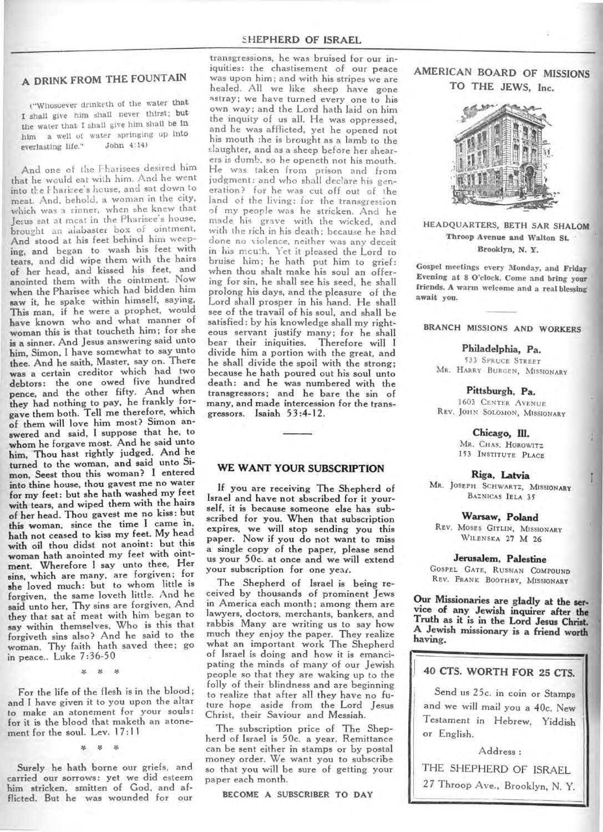### **SHEPHERD OF ISRAEL**

# **A DRINK FROM THE FOUNTAIN**

("Whosoever drinketh of the water **that <sup>I</sup>**shall give him shall never thirst; **but the** water that I shall give him shall **be in him** a well of water springing up **into everlasting** life." **John 4:14**) everlasting life."

And one of the Pharisees desired him that he would eat with him. And he went into the Hharisee's house, and sat down to meat. And, behold, a woman in the city, which was a sinner, when she knew that Jesus sat at meat in the Pharisee's house, brought an alabaster box of ointment, **And stood at his feet behind** him weeping, **and began to wash his feet with tears, and did wipe them with the hairs of her head, and kissed his feet, and anointed them with the ointment. Now when the Pharisee which had bidden him saw it, he spake within himself, saying, This man, if he were a prophet, would have known who and what manner of woman this is that toucheth him; for she is a sinner. And Jesus answering said unto him, Simon, I have somewhat to say unto thee. And he saith, Master, say on. There was a certain creditor which had two debtors: the one owed five hundred pence, and the other fifty. And when they had nothing to pay, he frankly forgave them both. Tell me therefore, which of them will love him most? Simon answered and said, I suppose that he, to whom he forgave most. And he said unto him, Thou bast rightly judged. And he turned to the woman, and said unto Simon, Seest thou this woman? I entered into thine house, thou gayest me no water for my feet: but she hath washed my feet with tears, and wiped them with the hairs of her head. Thou gayest me no kiss: but this woman, since the time I came in, hath not ceased to kiss my feet. My head with oil thou didst not anoint: but this woman hath anointed my feet with ointment. Wherefore I say unto thee, Her sins, which are many, are forgiven; for she loved much: but to whom little is forgiven, the same loveth little. And he said unto her, Thy sins are forgiven, And they that sat at meat with him began to say within themselves, Who is this that forgiveth sins also? And he said to the woman, Thy faith hath saved thee; go in peace.. Luke 7:36-50** 

\* \* \*

**For the life of the flesh is in the blood; and I have given it to you upon the altar to make an atonement for your souls: for it is the blood that maketh an a tonement for the soul. Lev. 17:11** 

\* \* \*

**Surely he hath borne our griefs, and carried our sorrows: yet we did esteem him stricken, smitten of God, and afflicted. But he was wounded for our** 

transgressions, he was bruised for our iniquities: the chastisement of our peace was upon him; and with his stripes we are healed. All we like sheep have gone astray; we have turned every one to his own way; and the Lord hath laid on him the inquity of us all. He was oppressed, and he was afflicted, yet he opened not his mouth :he is brought as a lamb to the slaughter, and as a sheep before her shearers is dumb, so he openeth not his mouth. He was taken from prison and from judgment: and who shall declare his generation? for he was cut off out of the land of the living: for the transgression of my people was he stricken. And he made his grave with the wicked, and with the rich in his death; because he had done no violence, neither was any deceit in his mcuth. Yet it pleased the Lord to bruise him; he hath put him to grief: **when thou shalt make his soul an offering for sin, he shall see his seed, he shall prolong his days, and the pleasure of the Lord shall prosper in his hand. He shall see of the travail of his soul, and shall be satisfied: by his knowledge shall my righteous servant justify many; for he shall bear their iniquities. Therefore will I divide him a portion with the great, and he shall divide the spoil with the strong; because he hath poured out his soul unto death: and he was numbered with the transgressors; and he bare the sin of many, and made intercession for the transgressors. Isaiah 53:4-12.** 

## **WE WANT YOUR SUBSCRIPTION**

**If you are receiving The Shepherd of Israel and have not sbscribed for it yourself, it is because someone else has subscribed for you. When that subscription expires, we will stop sending you this paper. Now if you do not want to miss a single copy of the paper, please send us your 50c. at once and we will extend your subscription for one year.** 

**The Shepherd of Israel is being received by thousands of prominent Jews in America each month; among them are lawyers, doctors, merchants, bankers, and rabbis Many are writing us to say how much they enjoy the paper. They realize what an important work The Shepherd of Israel is doing and how it is emancipating the minds of many of our Jewish people so that they are waking up to the folly of their blindness and are beginning to realize that after all they have no future hope aside from the Lord Jesus Christ, their Saviour and Messiah.** 

**The subscription price of The Shepherd of Israel is 50c. a year. Remittance**  can **be sent either in stamps or by postal money order. We want you to subscribe so that you will be sure of getting your paper each month.** 

**BECOME A SUBSCRIBER TO DAY** 

**AMERICAN BOARD OF MISSIONS TO THE JEWS, Inc.** 



**HEADQUARTERS, BETH SAR SHALOM Throop Avenue and Walton St. Brooklyn, N. Y.** 

**Gospel meetings every Monday, and Friday Evening at 8 O'clock. Come and bring your friends. A warm welcome and a real blessing await you.** 

**BRANCH MISSIONS AND WORKERS** 

**Philadelphia, Pa.**  533 SPRUCE STREET MR. HARRY BURGEN, MISSIONARY

**Pittsburgh, Pa.**  1603 CENTER AVENUE REV. JOHN SOLOMON, MISSIONARY

> **Chicago, III.**  MR. CHAS. HOROWITZ 153 INSTITUTE PLACE

> > **Riga, Latvia**

MR. JOSEPH SCHWARTZ, MISSIONARY BAZNICAS IELA 35

**Warsaw, Poland**  REV. MOSES GITLIN, MISSIONARY WILENSKA **27 M 26** 

**Jerusalem, Palestine** 

GOSPEL GATE, RUSSIAN COMPOUND REV. FRANK BOOTHBY, MISSIONARY

**Our Missionaries are gladly at the service of any Jewish inquirer after the Truth as it is in the Lord Jesus Christ. A Jewish missionary is a friend worth having.** 

## **40 CTS. WORTH FOR 25 CTS.**

**Send us** 25c. **in coin or Stamps and we will mail you a 40c. New Testament in Hebrew, Yiddish or English.** 

**Address :** 

**THE SHEPHERD OF ISRAEL 27 Throop Ave., Brooklyn, N. Y.**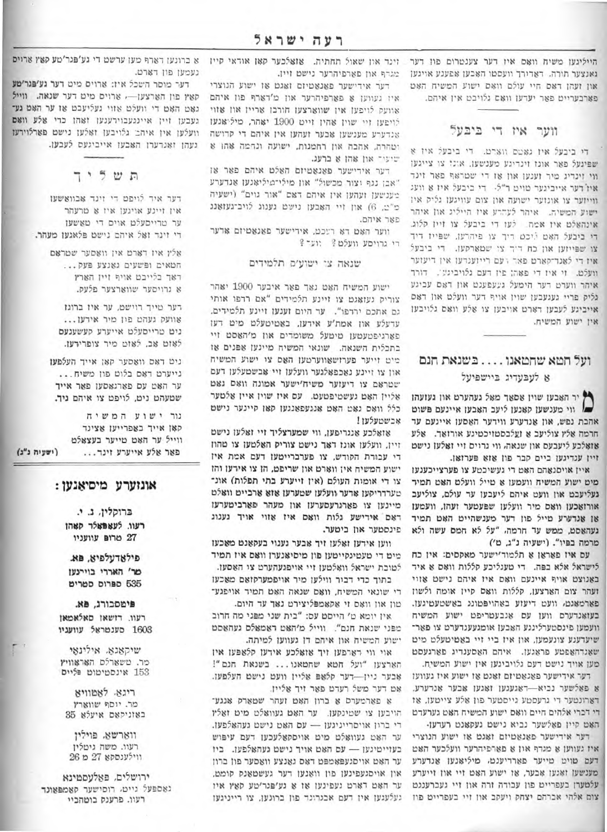נאנצער תורה. דאדורך וועסטו האבען אפענע אויגען און זעהן דאס חיי עולם וואס ישוע המשיח האט פארבעריים פאר יעדען וואם גלויבט אין איהם.

### ווער איז די ביבעל

די ביבעל איז גאטס ווארט. די ביבעל איז א שפינעל פאר אונז זינדיגע מענשען, אונז צו צייגען ווי זינדיג מיר זענען און אז די שטראף פאר זינד איז דער אייביגער טויט ד״ל. - די ביבעל איז א וועג ווייזער צו אונזער ישועה און צום עוויגעז גליק איז ישוע המשיה. איהר לעהרע איז הייליג און איהר אינהאלם איז אמה... לעז די ביבעל צו זיין קלוג. די ביבעל האם ליכט דיך צו פיהרען, שפייז דיד צו שפייזען און כח דיך צו שמארקען. די ביבעל איז די לאנד־קארט פאר רעם רייזענדעז אין דיעזער וועלם. זי איז די פאה: פיז דעם גלויביגען. דורך איהר ווערט דער הימעל געעפענט און דאס עביגע גליק פריי געגעבען שוין אויף דער וועלט און דאם אייביגע לעבען רארט אויבען צו אלע וואס גלויבען אין ישוע המשיח.

# ועל חמא שחמאנו…. בשנאת חנם א לעבעדיג ביישפיעל

" יר האבעו שויו אסאר מאל געהערט און געועהו " ווי מענשען קאנען ליעב האבען איינעם פשום אהבת נפש, און אנדערע ווידער האסען איינעם עד חרמה אלץ צוליעב א זעלבסטזיכטיגע אורזאד. אלע אַזאָלכע ליעבעס און שנאה, ווי גרויס זיי זאַלען נישט זיין ענדיגען ביים קבר פון אוא פערואן.

איין אויסנאהם האט די געשיכטע צו פערצייכענען מיט ישוע המשיח וועמען אַ טייל וועלט האַט תמיד געליעכט און וועט איהם ליעבען ער עולם, צוליעכ אורזאַכען וואָס מיר וועלען שפּעטער זעהן, וועמען אן אנדערע מייל פון דער מענשהיים האם תמיד געהאסט, ממש עד חרמה, "על לא חמס עשה ולא מרמה בפיו". (ישעיה נ"ג. מ')

עם איז פאראן א תלמוד׳ישער מאקסים: אין כח לישראל אלא בפה. די מעגליכע קללות וואס א איד באנוצט אויף איינעם וואס איז איהם נישט אזוי זעהר צום הארצען, קללות וואם קיין אומה ולשון פארמאנמ. וועם דיעוע באהויפמונג באשטעטיגעו. בעואנדערם ווען עם אנבעטריפט ישוע המשיח וועמען פינסטערלינגע האבען אומגעעגדערט צו פאר־ שיעדענע צונעמען, און איז ביי זיי באַטיטעלט מיט שאנדהאפטע פראגען. איהם האסענדיג פארגעסט מען אויך נישט דעם גלויביגען אין ישוע המשיח.

דער אידישער פאַנאַטיזם זאַנט אַז ישוע איז געוועז 8 פאלשער נכיא-דאגעגען זאגען אכער אנדערע. דארונטער די גרעסטע גייסטער פון אלע צייטען, או די דכרי אלהים חיים וואם ישוע המשיח האט גערעדט האם קיין פאלשער נביא נישם געקאנם רעדען.

דער אידישער פאנאטיזם זאגט אז ישוע הנוצרי איז געווען א מגרף און א פארפיהרער וועלכער האט דעם טויט טייער פארדיענט, מיליאנען אנדערע מענשען ואגען אבער, או ישוע האט זיי און זייערע עלטערן בעפרייט פון עכודה זרה און זיי געברענגט צום אלהי אברהם יצחק ויעקב און זיי בעפריים פוז

היילינען משיח וואם איו דער צענטרום פון דער זינד און שאול תחתיה. אואלכער קאן אודאי קיין מגדף און פארפיהרער נישט זיין.

דער אידישער פאנאטיזם זאגט אז ישוע הנוצרי איז געווען אַ פֿאַרפֿיהרער און מ׳דאַרף פֿון איהם אוועק לויפען אין שווארצען חורכן אריין און אווי לויפען זיי שוין אהין זיים 1900 יאהר, מיליאנען אנדערע מענשען אבער זעהען אין איהם די קדושה וטהרה, אהבה און רחמנות, ישועה ונחמה אהו א שיעיר און אהן א ברעג.

דער אידישער פאנאטיזם האלט איהם פאר אז "אבן נגף וצור מכשול" און מילי־מיליאנען אנדערע בענשען ועהען אין איהם ראם "אור גוים" (ישעיה כ"ב, 6) און זיי האבען נישט גענוג לויב־געזאנג פאר איהם.

ווער האט דא רעכט, אידישער פאנאטיזם אדער רי גרויסע וועלט? יוער ?

#### שנאה צי ישוע׳ם תלמידים

ישוע המשיח האט נאך פאר איבער 1900 יאהר צוריק נעואנט צו זיינע תלמידים "אם רדפו אותי גם אתכם ירדפו". עד היום זענעז זיינע תלמידים. עדעלע און אמת'ע אידען, באטיטעלט מיט דעו פארגיפטעטען טיטעל משומדים און מ'האסט זיי בתכלית השנאה. שונאי המשיח מיינען אפנים או מיט זייער פערזשאווערטען האס צו ישוע המשיח און צו זיינע נאכפאלגער וועלען זיי אבשטעלען דעם שטראם צו דיעזער משיח'ישער אמונה וואס גאט אליין האם נעשטיפטעט. עם איז שוין איין אלטער כלל וואם נאט האט אנגעפאנגען קאן קיינער נישט אבשטעלען!

אואלכע אנגריפען, ווי שמערצליך זיי זאלען נישט זיין, וועלען אונז דאר נישם צוריק האלטען צו מהוז די עבורת הקודש, צו פערבריימען דעם אמת אין ישוע המשיח אין ווארט און שריפט, הן צו אירען והן צו די אומות העולם (אין זייערע בתי תפלות) אונ־ טערדריקען אדער וועלען שטערען אוא ארבייט וואלט מיינען צו פארגרעסערען און מעהר פארביטערעו דאם אידישע גלות וואם איז אווי אויד גענוג פינסטער און ביטער.

ווען אירען זאַלען זיך אַבער גענוי בעקאַנט מאַכען מים די טעטיגקייטען פון מיסיאנערן וואס איז תמיד לטובת ישראל וואלטען זיי אויפגעהערט צי האסען. בתוך כדי דבור ווילען מיר אויפמערקזאם מאכעז

די שונאי המשיח, וואם שנאה האם תמיד אויפגע־ טון און וואָם זי אַקאָמפּליצירט נאָך עד היום.

אין יומא מ' הייסט עס: "בית שני מפני מה חרוב מפני שנאת חנם". ווייל מ'האט ראמאלם געהאסט ישוע המשיח און איהם דן געווען למיתה.

אוי ווי דארפען זיך אואלכע אידען קלאפען אין הארצעו "ועל חמא שחמאנו... בשנאת חנם"! אָבער ניין--דער קלאָםּ אַליין וועט נישט העלפען. אם דער משל רעדם פאר זיך אליין.

8 פארמערס 8 ברון האט זעהר שטארק אנגע־ הויבען צו שטינקען. ער האָם געוואַלט מיט זאַלין די ברון אויסרייניגען -- עם האט נישט געהאלפען. ער האט געוואלט מיט אויסקאלעכען דעם עיפוש בעזייטיגען - עם האט אויך נישט געהאלפען. ביז ער האט אויסגעפאמפט דאס גאנצע וואסער פון ברון און אויסגעפינען פון וואַנען דער געשטאַנק קומט, ער האט דארט געפינען אז א גע׳פנר׳טע קאץ איז געלעגען אין דעם אבנרונד פון ברונען, צו רייניגען

א ברונען דארף מען ערשט די גע'פגר'טע קאין ארויס נעמען פון דארט.

דער מוסר השכל איז: ארויס מיט דער גע'פגר'טע קאץ פון הארצען- ארויס מיט דער שנאה. ווייל נאט האט די וועלט אזוי געליעכט אז ער האט גע־ געבען זיין איינגעבוירענען זאהן כדי אלע וואם וועלען אין איהב גלויבען ואלען נישם פארלוירעו געהן זאנרערן האבען אייביגעם לעבען.

תשליך

דער איר לויפט די זינד אבוואשען אין זיינע אויגען איז א טרעהר ער טרייסעלט אויס די טאשעו די זינד זאל איהם נישט פלאגען מעהר.

> אלץ איז דארט אין וואסער שטראם המאים ופשעים גאנצע פעק... ראך בלייבט אויף זיין הארץ א גרויסער שווארצער פלעס.

דער טייך רוישט, ער איז ברוגז אוועק געהט פון מיר אידען... נים טרייסעלט אייערע קעשענעם לאום אב, לאום מיר צופרידעו.

ניט דאס וואסער קאן אייך העלפעו נייערט דאס בלוט פון משיח... ער האט עם פארגאסען פאר אייך שטעהט ניט, לויפט צו איהם ניד.

נור ישוע המשיח קאן אייך באפרייען אצינד ווייל ער האט טייער בעצאלט (ושעיה נ"ג) פאר אלע אייערע זינד...

### אונזערע מיסיאנען:

ברוקלין, ג. י. רעוו. לעאפאלר סאהו 27 מרום עוועניו

פילאדעלפיא, פא. מר' האררי בויינעו 535 ספרוס סטריט

פימסכורג, פא. רעוו. דושאן סאלאמאן 1603 סענטראַל עוועניו

שיקאנא. אילינאי מר. טשארלם האראוויץ 153 אינסטיטוט וליים

ריגא. לאטוויא מר. יוסף שווארץ באוניקאם איעלא 35

ווארשא. פוילין רעוו. משה גיטלין ווילענסקא 27 מ 26

ירושלים. פאלעסמינא נאספעל גייט, רוסישער קאמפאונד רעוו. פרענק בוטהביי